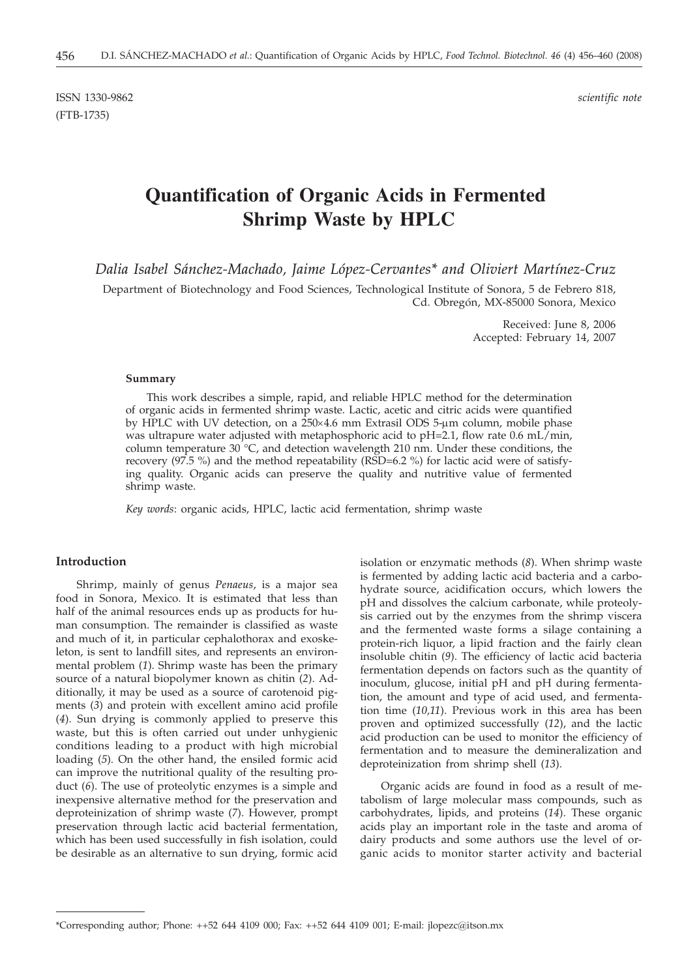ISSN 1330-9862 *scientific note* (FTB-1735)

# **Quantification of Organic Acids in Fermented Shrimp Waste by HPLC**

*Dalia Isabel Sánchez-Machado, Jaime López-Cervantes\* and Oliviert Martínez-Cruz*

Department of Biotechnology and Food Sciences, Technological Institute of Sonora, 5 de Febrero 818, Cd. Obregón, MX-85000 Sonora, Mexico

> Received: June 8, 2006 Accepted: February 14, 2007

#### **Summary**

This work describes a simple, rapid, and reliable HPLC method for the determination of organic acids in fermented shrimp waste. Lactic, acetic and citric acids were quantified by HPLC with UV detection, on a  $250 \times 4.6$  mm Extrasil ODS 5-µm column, mobile phase was ultrapure water adjusted with metaphosphoric acid to pH=2.1, flow rate 0.6 mL/min, column temperature 30 °C, and detection wavelength 210 nm. Under these conditions, the recovery  $(97.5\%)$  and the method repeatability (RSD=6.2%) for lactic acid were of satisfying quality. Organic acids can preserve the quality and nutritive value of fermented shrimp waste.

*Key words*: organic acids, HPLC, lactic acid fermentation, shrimp waste

#### **Introduction**

Shrimp, mainly of genus *Penaeus*, is a major sea food in Sonora, Mexico. It is estimated that less than half of the animal resources ends up as products for human consumption. The remainder is classified as waste and much of it, in particular cephalothorax and exoskeleton, is sent to landfill sites, and represents an environmental problem (*1*). Shrimp waste has been the primary source of a natural biopolymer known as chitin (*2*). Additionally, it may be used as a source of carotenoid pigments (*3*) and protein with excellent amino acid profile (*4*). Sun drying is commonly applied to preserve this waste, but this is often carried out under unhygienic conditions leading to a product with high microbial loading (*5*). On the other hand, the ensiled formic acid can improve the nutritional quality of the resulting product (*6*). The use of proteolytic enzymes is a simple and inexpensive alternative method for the preservation and deproteinization of shrimp waste (*7*). However, prompt preservation through lactic acid bacterial fermentation, which has been used successfully in fish isolation, could be desirable as an alternative to sun drying, formic acid

isolation or enzymatic methods (*8*). When shrimp waste is fermented by adding lactic acid bacteria and a carbohydrate source, acidification occurs, which lowers the pH and dissolves the calcium carbonate, while proteolysis carried out by the enzymes from the shrimp viscera and the fermented waste forms a silage containing a protein-rich liquor, a lipid fraction and the fairly clean insoluble chitin (*9*). The efficiency of lactic acid bacteria fermentation depends on factors such as the quantity of inoculum, glucose, initial pH and pH during fermentation, the amount and type of acid used, and fermentation time (*10,11*). Previous work in this area has been proven and optimized successfully (*12*), and the lactic acid production can be used to monitor the efficiency of fermentation and to measure the demineralization and deproteinization from shrimp shell (*13*).

Organic acids are found in food as a result of metabolism of large molecular mass compounds, such as carbohydrates, lipids, and proteins (*14*). These organic acids play an important role in the taste and aroma of dairy products and some authors use the level of organic acids to monitor starter activity and bacterial

<sup>\*</sup>Corresponding author; Phone:  $++52$  644 4109 000; Fax:  $++52$  644 4109 001; E-mail: ilopezc@itson.mx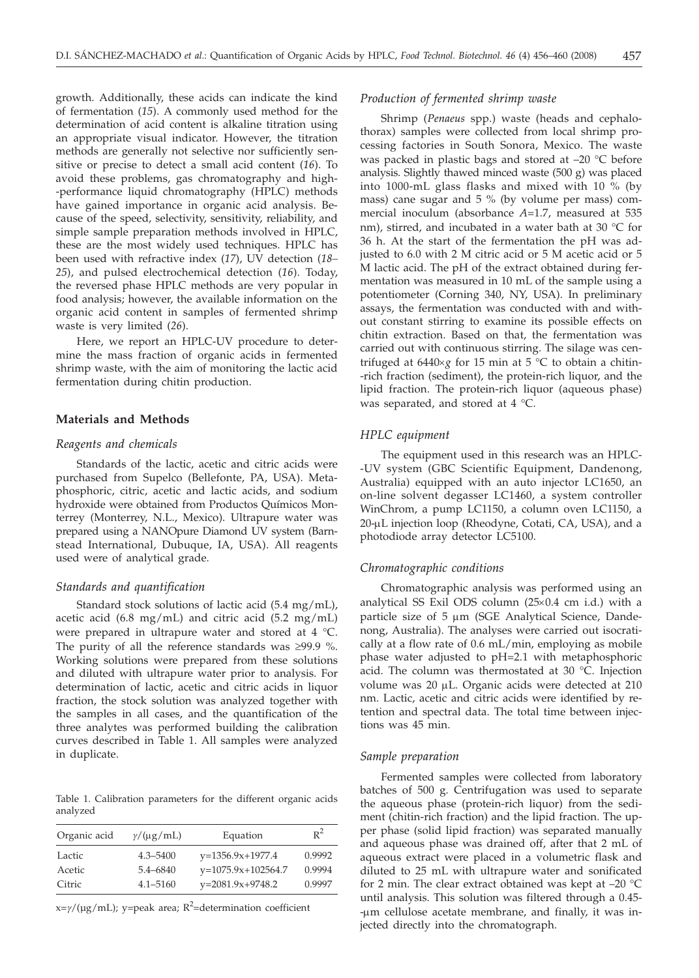growth. Additionally, these acids can indicate the kind of fermentation (*15*). A commonly used method for the determination of acid content is alkaline titration using an appropriate visual indicator. However, the titration methods are generally not selective nor sufficiently sensitive or precise to detect a small acid content (*16*). To avoid these problems, gas chromatography and high- -performance liquid chromatography (HPLC) methods have gained importance in organic acid analysis. Because of the speed, selectivity, sensitivity, reliability, and simple sample preparation methods involved in HPLC, these are the most widely used techniques. HPLC has been used with refractive index (*17*), UV detection (*18– 25*), and pulsed electrochemical detection (*16*). Today, the reversed phase HPLC methods are very popular in food analysis; however, the available information on the organic acid content in samples of fermented shrimp waste is very limited (*26*).

Here, we report an HPLC-UV procedure to determine the mass fraction of organic acids in fermented shrimp waste, with the aim of monitoring the lactic acid fermentation during chitin production.

#### **Materials and Methods**

# *Reagents and chemicals*

Standards of the lactic, acetic and citric acids were purchased from Supelco (Bellefonte, PA, USA). Metaphosphoric, citric, acetic and lactic acids, and sodium hydroxide were obtained from Productos Químicos Monterrey (Monterrey, N.L., Mexico). Ultrapure water was prepared using a NANOpure Diamond UV system (Barnstead International, Dubuque, IA, USA). All reagents used were of analytical grade.

#### *Standards and quantification*

Standard stock solutions of lactic acid (5.4 mg/mL), acetic acid (6.8 mg/mL) and citric acid (5.2 mg/mL) were prepared in ultrapure water and stored at 4 °C. The purity of all the reference standards was  $\geq 99.9$  %. Working solutions were prepared from these solutions and diluted with ultrapure water prior to analysis. For determination of lactic, acetic and citric acids in liquor fraction, the stock solution was analyzed together with the samples in all cases, and the quantification of the three analytes was performed building the calibration curves described in Table 1. All samples were analyzed in duplicate.

Table 1. Calibration parameters for the different organic acids analyzed

| Organic acid | $\gamma/(\mu g/mL)$ | Equation             | $R^2$  |
|--------------|---------------------|----------------------|--------|
| Lactic       | $4.3 - 5400$        | $y=1356.9x+1977.4$   | 0.9992 |
| Acetic       | $5.4 - 6840$        | $y=1075.9x+102564.7$ | 0.9994 |
| Citric       | $4.1 - 5160$        | $y=2081.9x+9748.2$   | 0.9997 |

x=γ/(μg/mL); y=peak area; R<sup>2</sup>=determination coefficient

#### *Production of fermented shrimp waste*

Shrimp (*Penaeus* spp.) waste (heads and cephalothorax) samples were collected from local shrimp processing factories in South Sonora, Mexico. The waste was packed in plastic bags and stored at –20 °C before analysis. Slightly thawed minced waste (500 g) was placed into 1000-mL glass flasks and mixed with 10 % (by mass) cane sugar and 5 % (by volume per mass) commercial inoculum (absorbance *A*=1.7, measured at 535 nm), stirred, and incubated in a water bath at 30 °C for 36 h. At the start of the fermentation the pH was adjusted to 6.0 with 2 M citric acid or 5 M acetic acid or 5 M lactic acid. The pH of the extract obtained during fermentation was measured in 10 mL of the sample using a potentiometer (Corning 340, NY, USA). In preliminary assays, the fermentation was conducted with and without constant stirring to examine its possible effects on chitin extraction. Based on that, the fermentation was carried out with continuous stirring. The silage was centrifuged at  $6440 \times g$  for 15 min at 5 °C to obtain a chitin--rich fraction (sediment), the protein-rich liquor, and the lipid fraction. The protein-rich liquor (aqueous phase) was separated, and stored at 4 °C.

#### *HPLC equipment*

The equipment used in this research was an HPLC- -UV system (GBC Scientific Equipment, Dandenong, Australia) equipped with an auto injector LC1650, an on-line solvent degasser LC1460, a system controller WinChrom, a pump LC1150, a column oven LC1150, a 20-µL injection loop (Rheodyne, Cotati, CA, USA), and a photodiode array detector LC5100.

#### *Chromatographic conditions*

Chromatographic analysis was performed using an analytical SS Exil ODS column  $(25×0.4 \text{ cm } i.d.)$  with a particle size of  $5 \mu m$  (SGE Analytical Science, Dandenong, Australia). The analyses were carried out isocratically at a flow rate of 0.6 mL/min, employing as mobile phase water adjusted to pH=2.1 with metaphosphoric acid. The column was thermostated at 30 °C. Injection volume was 20 µL. Organic acids were detected at 210 nm. Lactic, acetic and citric acids were identified by retention and spectral data. The total time between injections was 45 min.

#### *Sample preparation*

Fermented samples were collected from laboratory batches of 500 g. Centrifugation was used to separate the aqueous phase (protein-rich liquor) from the sediment (chitin-rich fraction) and the lipid fraction. The upper phase (solid lipid fraction) was separated manually and aqueous phase was drained off, after that 2 mL of aqueous extract were placed in a volumetric flask and diluted to 25 mL with ultrapure water and sonificated for 2 min. The clear extract obtained was kept at –20 °C until analysis. This solution was filtered through a 0.45- -mm cellulose acetate membrane, and finally, it was injected directly into the chromatograph.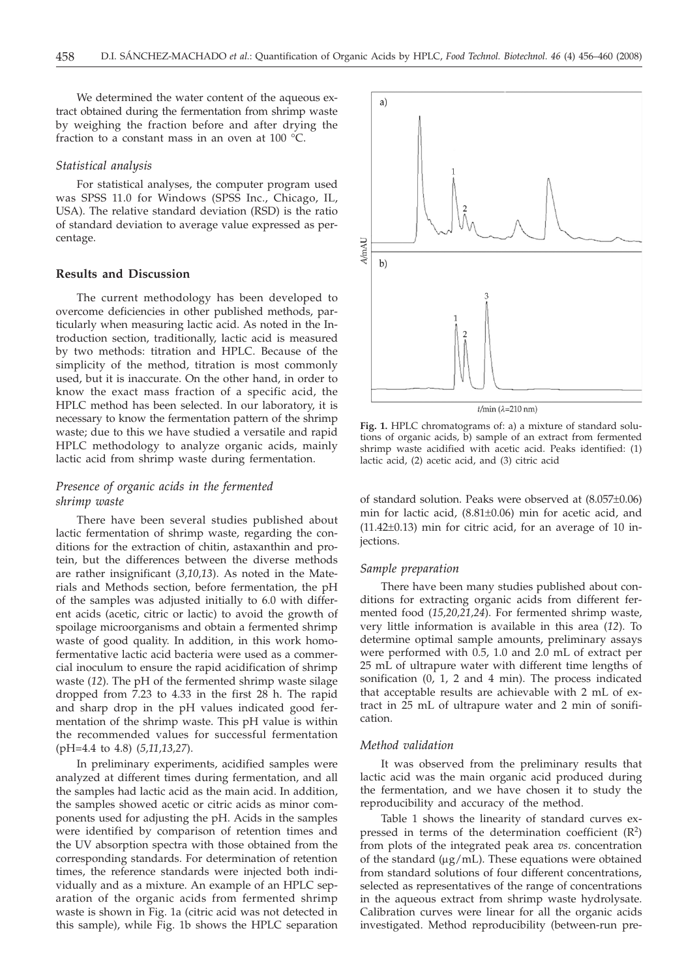We determined the water content of the aqueous extract obtained during the fermentation from shrimp waste by weighing the fraction before and after drying the fraction to a constant mass in an oven at 100 °C.

#### *Statistical analysis*

For statistical analyses, the computer program used was SPSS 11.0 for Windows (SPSS Inc., Chicago, IL, USA). The relative standard deviation (RSD) is the ratio of standard deviation to average value expressed as percentage.

#### **Results and Discussion**

The current methodology has been developed to overcome deficiencies in other published methods, particularly when measuring lactic acid. As noted in the Introduction section, traditionally, lactic acid is measured by two methods: titration and HPLC. Because of the simplicity of the method, titration is most commonly used, but it is inaccurate. On the other hand, in order to know the exact mass fraction of a specific acid, the HPLC method has been selected. In our laboratory, it is necessary to know the fermentation pattern of the shrimp waste; due to this we have studied a versatile and rapid HPLC methodology to analyze organic acids, mainly lactic acid from shrimp waste during fermentation.

# *Presence of organic acids in the fermented shrimp waste*

There have been several studies published about lactic fermentation of shrimp waste, regarding the conditions for the extraction of chitin, astaxanthin and protein, but the differences between the diverse methods are rather insignificant (*3,10,13*). As noted in the Materials and Methods section, before fermentation, the pH of the samples was adjusted initially to 6.0 with different acids (acetic, citric or lactic) to avoid the growth of spoilage microorganisms and obtain a fermented shrimp waste of good quality. In addition, in this work homofermentative lactic acid bacteria were used as a commercial inoculum to ensure the rapid acidification of shrimp waste (*12*). The pH of the fermented shrimp waste silage dropped from 7.23 to 4.33 in the first 28 h. The rapid and sharp drop in the pH values indicated good fermentation of the shrimp waste. This pH value is within the recommended values for successful fermentation (pH=4.4 to 4.8) (*5,11,13,27*).

In preliminary experiments, acidified samples were analyzed at different times during fermentation, and all the samples had lactic acid as the main acid. In addition, the samples showed acetic or citric acids as minor components used for adjusting the pH. Acids in the samples were identified by comparison of retention times and the UV absorption spectra with those obtained from the corresponding standards. For determination of retention times, the reference standards were injected both individually and as a mixture. An example of an HPLC separation of the organic acids from fermented shrimp waste is shown in Fig. 1a (citric acid was not detected in this sample), while Fig. 1b shows the HPLC separation



**Fig. 1.** HPLC chromatograms of: a) a mixture of standard solutions of organic acids, b) sample of an extract from fermented shrimp waste acidified with acetic acid. Peaks identified: (1) lactic acid, (2) acetic acid, and (3) citric acid

of standard solution. Peaks were observed at (8.057±0.06) min for lactic acid, (8.81±0.06) min for acetic acid, and  $(11.42\pm0.13)$  min for citric acid, for an average of 10 injections.

#### *Sample preparation*

There have been many studies published about conditions for extracting organic acids from different fermented food (*15,20,21,24*). For fermented shrimp waste, very little information is available in this area (*12*). To determine optimal sample amounts, preliminary assays were performed with 0.5, 1.0 and 2.0 mL of extract per 25 mL of ultrapure water with different time lengths of sonification (0, 1, 2 and 4 min). The process indicated that acceptable results are achievable with 2 mL of extract in 25 mL of ultrapure water and 2 min of sonification.

#### *Method validation*

It was observed from the preliminary results that lactic acid was the main organic acid produced during the fermentation, and we have chosen it to study the reproducibility and accuracy of the method.

Table 1 shows the linearity of standard curves expressed in terms of the determination coefficient  $(R^2)$ from plots of the integrated peak area *vs*. concentration of the standard  $(\mu g/mL)$ . These equations were obtained from standard solutions of four different concentrations, selected as representatives of the range of concentrations in the aqueous extract from shrimp waste hydrolysate. Calibration curves were linear for all the organic acids investigated. Method reproducibility (between-run pre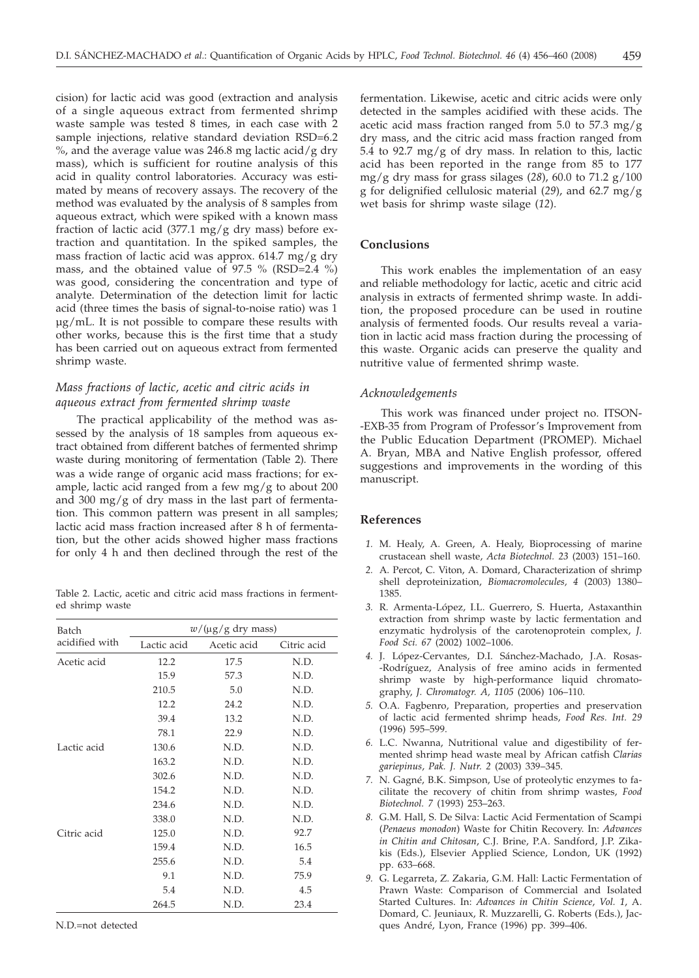cision) for lactic acid was good (extraction and analysis of a single aqueous extract from fermented shrimp waste sample was tested 8 times, in each case with 2 sample injections, relative standard deviation RSD=6.2 %, and the average value was 246.8 mg lactic acid/g dry mass), which is sufficient for routine analysis of this acid in quality control laboratories. Accuracy was estimated by means of recovery assays. The recovery of the method was evaluated by the analysis of 8 samples from aqueous extract, which were spiked with a known mass fraction of lactic acid (377.1 mg/g dry mass) before extraction and quantitation. In the spiked samples, the mass fraction of lactic acid was approx. 614.7 mg/g dry mass, and the obtained value of 97.5 % (RSD=2.4 %) was good, considering the concentration and type of analyte. Determination of the detection limit for lactic acid (three times the basis of signal-to-noise ratio) was 1 μg/mL. It is not possible to compare these results with other works, because this is the first time that a study has been carried out on aqueous extract from fermented shrimp waste.

# *Mass fractions of lactic, acetic and citric acids in aqueous extract from fermented shrimp waste*

The practical applicability of the method was assessed by the analysis of 18 samples from aqueous extract obtained from different batches of fermented shrimp waste during monitoring of fermentation (Table 2). There was a wide range of organic acid mass fractions; for example, lactic acid ranged from a few  $mg/g$  to about 200 and 300 mg/g of dry mass in the last part of fermentation. This common pattern was present in all samples; lactic acid mass fraction increased after 8 h of fermentation, but the other acids showed higher mass fractions for only 4 h and then declined through the rest of the

Table 2. Lactic, acetic and citric acid mass fractions in fermented shrimp waste

| Batch          | $w/(\mu g/g)$ dry mass) |             |             |  |
|----------------|-------------------------|-------------|-------------|--|
| acidified with | Lactic acid             | Acetic acid | Citric acid |  |
| Acetic acid    | 12.2                    | 17.5        | N.D.        |  |
|                | 15.9                    | 57.3        | N.D.        |  |
|                | 210.5                   | 5.0         | N.D.        |  |
|                | 12.2                    | 24.2        | N.D.        |  |
|                | 39.4                    | 13.2        | N.D.        |  |
|                | 78.1                    | 22.9        | N.D.        |  |
| Lactic acid    | 130.6                   | N.D.        | N.D.        |  |
|                | 163.2                   | N.D.        | N.D.        |  |
|                | 302.6                   | N.D.        | N.D.        |  |
|                | 154.2                   | N.D.        | N.D.        |  |
|                | 234.6                   | N.D.        | N.D.        |  |
|                | 338.0                   | N.D.        | N.D.        |  |
| Citric acid    | 125.0                   | N.D.        | 92.7        |  |
|                | 159.4                   | N.D.        | 16.5        |  |
|                | 255.6                   | N.D.        | 5.4         |  |
|                | 9.1                     | N.D.        | 75.9        |  |
|                | 5.4                     | N.D.        | 4.5         |  |
|                | 264.5                   | N.D.        | 23.4        |  |

N.D.=not detected

fermentation. Likewise, acetic and citric acids were only detected in the samples acidified with these acids. The acetic acid mass fraction ranged from 5.0 to 57.3 mg/g dry mass, and the citric acid mass fraction ranged from 5.4 to 92.7 mg/g of dry mass. In relation to this, lactic acid has been reported in the range from 85 to 177 mg/g dry mass for grass silages (*28*), 60.0 to 71.2 g/100 g for delignified cellulosic material (*29*), and 62.7 mg/g wet basis for shrimp waste silage (*12*).

# **Conclusions**

This work enables the implementation of an easy and reliable methodology for lactic, acetic and citric acid analysis in extracts of fermented shrimp waste. In addition, the proposed procedure can be used in routine analysis of fermented foods. Our results reveal a variation in lactic acid mass fraction during the processing of this waste. Organic acids can preserve the quality and nutritive value of fermented shrimp waste.

## *Acknowledgements*

This work was financed under project no. ITSON- -EXB-35 from Program of Professor's Improvement from the Public Education Department (PROMEP). Michael A. Bryan, MBA and Native English professor, offered suggestions and improvements in the wording of this manuscript.

## **References**

- *1.* M. Healy, A. Green, A. Healy, Bioprocessing of marine crustacean shell waste, *Acta Biotechnol. 23* (2003) 151–160.
- *2.* A. Percot, C. Viton, A. Domard, Characterization of shrimp shell deproteinization, *Biomacromolecules, 4* (2003) 1380– 1385.
- *3.* R. Armenta-López, I.L. Guerrero, S. Huerta, Astaxanthin extraction from shrimp waste by lactic fermentation and enzymatic hydrolysis of the carotenoprotein complex, *J. Food Sci. 67* (2002) 1002–1006.
- *4.* J. López-Cervantes, D.I. Sánchez-Machado, J.A. Rosas- -Rodríguez, Analysis of free amino acids in fermented shrimp waste by high-performance liquid chromatography, *J. Chromatogr. A, 1105* (2006) 106–110.
- *5.* O.A. Fagbenro, Preparation, properties and preservation of lactic acid fermented shrimp heads, *Food Res. Int. 29* (1996) 595–599.
- *6.* L.C. Nwanna, Nutritional value and digestibility of fermented shrimp head waste meal by African catfish *Clarias gariepinus*, *Pak. J. Nutr. 2* (2003) 339–345.
- *7.* N. Gagné, B.K. Simpson, Use of proteolytic enzymes to facilitate the recovery of chitin from shrimp wastes, *Food Biotechnol. 7* (1993) 253–263.
- *8.* G.M. Hall, S. De Silva: Lactic Acid Fermentation of Scampi (*Penaeus monodon*) Waste for Chitin Recovery. In: *Advances in Chitin and Chitosan*, C.J. Brine, P.A. Sandford, J.P. Zikakis (Eds.), Elsevier Applied Science, London, UK (1992) pp. 633–668.
- *9.* G. Legarreta, Z. Zakaria, G.M. Hall: Lactic Fermentation of Prawn Waste: Comparison of Commercial and Isolated Started Cultures. In: *Advances in Chitin Science*, *Vol. 1*, A. Domard, C. Jeuniaux, R. Muzzarelli, G. Roberts (Eds.), Jacques André, Lyon, France (1996) pp. 399–406.